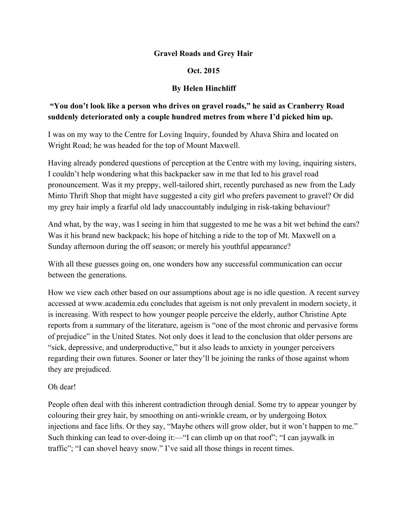## **Gravel Roads and Grey Hair**

#### **Oct. 2015**

## **By Helen Hinchliff**

# **"You don't look like a person who drives on gravel roads," he said as Cranberry Road suddenly deteriorated only a couple hundred metres from where I'd picked him up.**

I was on my way to the Centre for Loving Inquiry, founded by Ahava Shira and located on Wright Road; he was headed for the top of Mount Maxwell.

Having already pondered questions of perception at the Centre with my loving, inquiring sisters, I couldn't help wondering what this backpacker saw in me that led to his gravel road pronouncement. Was it my preppy, well-tailored shirt, recently purchased as new from the Lady Minto Thrift Shop that might have suggested a city girl who prefers pavement to gravel? Or did my grey hair imply a fearful old lady unaccountably indulging in risk-taking behaviour?

And what, by the way, was I seeing in him that suggested to me he was a bit wet behind the ears? Was it his brand new backpack; his hope of hitching a ride to the top of Mt. Maxwell on a Sunday afternoon during the off season; or merely his youthful appearance?

With all these guesses going on, one wonders how any successful communication can occur between the generations.

How we view each other based on our assumptions about age is no idle question. A recent survey accessed at www.academia.edu concludes that ageism is not only prevalent in modern society, it is increasing. With respect to how younger people perceive the elderly, author Christine Apte reports from a summary of the literature, ageism is "one of the most chronic and pervasive forms of prejudice" in the United States. Not only does it lead to the conclusion that older persons are "sick, depressive, and underproductive," but it also leads to anxiety in younger perceivers regarding their own futures. Sooner or later they'll be joining the ranks of those against whom they are prejudiced.

## Oh dear!

People often deal with this inherent contradiction through denial. Some try to appear younger by colouring their grey hair, by smoothing on anti-wrinkle cream, or by undergoing Botox injections and face lifts. Or they say, "Maybe others will grow older, but it won't happen to me." Such thinking can lead to over-doing it:—"I can climb up on that roof"; "I can jaywalk in traffic"; "I can shovel heavy snow." I've said all those things in recent times.